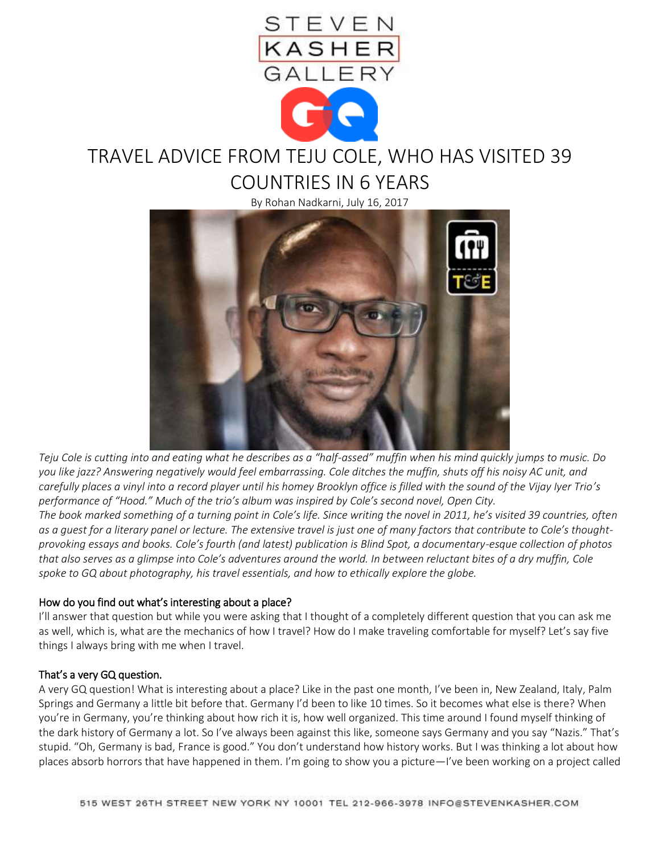

# TRAVEL ADVICE FROM TEJU COLE, WHO HAS VISITED 39 COUNTRIES IN 6 YEARS

By Rohan Nadkarni, July 16, 2017



*Teju Cole is cutting into and eating what he describes as a "half-assed" muffin when his mind quickly jumps to music. Do you like jazz? Answering negatively would feel embarrassing. Cole ditches the muffin, shuts off his noisy AC unit, and carefully places a vinyl into a record player until his homey Brooklyn office is filled with the sound of the Vijay Iyer Trio's performance of "Hood." Much of the trio's album was inspired by Cole's second novel, Open City. The book marked something of a turning point in Cole's life. Since writing the novel in 2011, he's visited 39 countries, often as a guest for a literary panel or lecture. The extensive travel is just one of many factors that contribute to Cole's thoughtprovoking essays and books. Cole's fourth (and latest) publication is Blind Spot, a documentary-esque collection of photos that also serves as a glimpse into Cole's adventures around the world. In between reluctant bites of a dry muffin, Cole spoke to GQ about photography, his travel essentials, and how to ethically explore the globe.*

## How do you find out what's interesting about a place?

I'll answer that question but while you were asking that I thought of a completely different question that you can ask me as well, which is, what are the mechanics of how I travel? How do I make traveling comfortable for myself? Let's say five things I always bring with me when I travel.

## That's a very GQ question.

A very GQ question! What is interesting about a place? Like in the past one month, I've been in, New Zealand, Italy, Palm Springs and Germany a little bit before that. Germany I'd been to like 10 times. So it becomes what else is there? When you're in Germany, you're thinking about how rich it is, how well organized. This time around I found myself thinking of the dark history of Germany a lot. So I've always been against this like, someone says Germany and you say "Nazis." That's stupid. "Oh, Germany is bad, France is good." You don't understand how history works. But I was thinking a lot about how places absorb horrors that have happened in them. I'm going to show you a picture—I've been working on a project called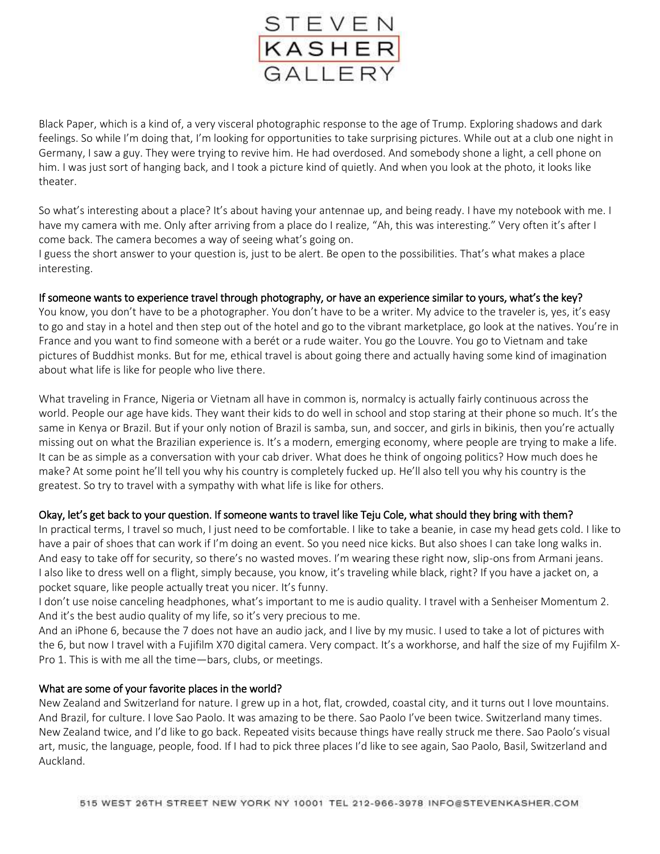

Black Paper, which is a kind of, a very visceral photographic response to the age of Trump. Exploring shadows and dark feelings. So while I'm doing that, I'm looking for opportunities to take surprising pictures. While out at a club one night in Germany, I saw a guy. They were trying to revive him. He had overdosed. And somebody shone a light, a cell phone on him. I was just sort of hanging back, and I took a picture kind of quietly. And when you look at the photo, it looks like theater.

So what's interesting about a place? It's about having your antennae up, and being ready. I have my notebook with me. I have my camera with me. Only after arriving from a place do I realize, "Ah, this was interesting." Very often it's after I come back. The camera becomes a way of seeing what's going on.

I guess the short answer to your question is, just to be alert. Be open to the possibilities. That's what makes a place interesting.

## If someone wants to experience travel through photography, or have an experience similar to yours, what's the key?

You know, you don't have to be a photographer. You don't have to be a writer. My advice to the traveler is, yes, it's easy to go and stay in a hotel and then step out of the hotel and go to the vibrant marketplace, go look at the natives. You're in France and you want to find someone with a berét or a rude waiter. You go the Louvre. You go to Vietnam and take pictures of Buddhist monks. But for me, ethical travel is about going there and actually having some kind of imagination about what life is like for people who live there.

What traveling in France, Nigeria or Vietnam all have in common is, normalcy is actually fairly continuous across the world. People our age have kids. They want their kids to do well in school and stop staring at their phone so much. It's the same in Kenya or Brazil. But if your only notion of Brazil is samba, sun, and soccer, and girls in bikinis, then you're actually missing out on what the Brazilian experience is. It's a modern, emerging economy, where people are trying to make a life. It can be as simple as a conversation with your cab driver. What does he think of ongoing politics? How much does he make? At some point he'll tell you why his country is completely fucked up. He'll also tell you why his country is the greatest. So try to travel with a sympathy with what life is like for others.

## Okay, let's get back to your question. If someone wants to travel like Teju Cole, what should they bring with them?

In practical terms, I travel so much, I just need to be comfortable. I like to take a beanie, in case my head gets cold. I like to have a pair of shoes that can work if I'm doing an event. So you need nice kicks. But also shoes I can take long walks in. And easy to take off for security, so there's no wasted moves. I'm wearing these right now, slip-ons from Armani jeans. I also like to dress well on a flight, simply because, you know, it's traveling while black, right? If you have a jacket on, a pocket square, like people actually treat you nicer. It's funny.

I don't use noise canceling headphones, what's important to me is audio quality. I travel with a Senheiser Momentum 2. And it's the best audio quality of my life, so it's very precious to me.

And an iPhone 6, because the 7 does not have an audio jack, and I live by my music. I used to take a lot of pictures with the 6, but now I travel with a Fujifilm X70 digital camera. Very compact. It's a workhorse, and half the size of my Fujifilm X-Pro 1. This is with me all the time—bars, clubs, or meetings.

## What are some of your favorite places in the world?

New Zealand and Switzerland for nature. I grew up in a hot, flat, crowded, coastal city, and it turns out I love mountains. And Brazil, for culture. I love Sao Paolo. It was amazing to be there. Sao Paolo I've been twice. Switzerland many times. New Zealand twice, and I'd like to go back. Repeated visits because things have really struck me there. Sao Paolo's visual art, music, the language, people, food. If I had to pick three places I'd like to see again, Sao Paolo, Basil, Switzerland and Auckland.